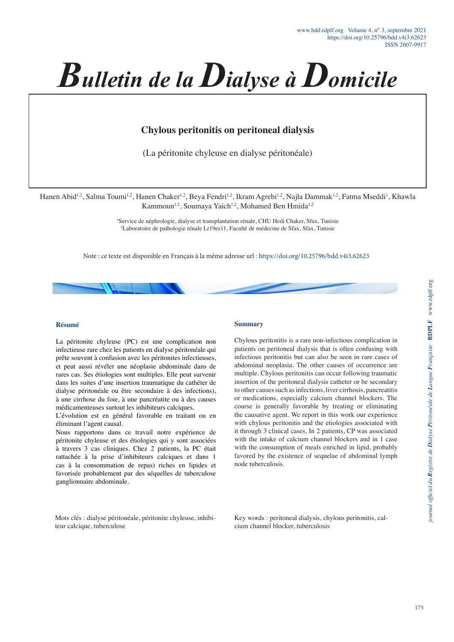

# **Chylous peritonitis on peritoneal dialysis**

(La péritonite chyleuse en dialyse péritonéale)

Hanen Abid<sup>1,2</sup>, Salma Toumi<sup>1,2</sup>, Hanen Chaker<sup>1,2</sup>, Beya Fendri<sup>1,2</sup>, Ikram Agrebi<sup>1,2</sup>, Najla Dammak<sup>1,2</sup>, Fatma Mseddi<sup>1</sup>, Khawla Kammoun<sup>1,2</sup>, Soumaya Yaich<sup>1,2</sup>, Mohamed Ben Hmida<sup>1,2</sup>

> <sup>1</sup>Service de néphrologie, dialyse et transplantation rénale, CHU Hedi Chaker, Sfax, Tunisie 2 Laboratoire de pathologie rénale Lr19es11, Faculté de médecine de Sfax, Sfax, Tunisie

Note : ce texte est disponible en Français à la même adresse url : https://doi.org/10.25796/bdd.v4i3.62623

### **Résumé**

La péritonite chyleuse (PC) est une complication non infectieuse rare chez les patients en dialyse péritonéale qui prête souvent à confusion avec les péritonites infectieuses, et peut aussi révéler une néoplasie abdominale dans de rares cas. Ses étiologies sont multiples. Elle peut survenir dans les suites d'une insertion traumatique du cathéter de dialyse péritonéale ou être secondaire à des infections), à une cirrhose du foie, à une pancréatite ou à des causes médicamenteuses surtout les inhibiteurs calciques.

L'évolution est en général favorable en traitant ou en éliminant l'agent causal.

Nous rapportons dans ce travail notre expérience de péritonite chyleuse et des étiologies qui y sont associées à travers 3 cas cliniques. Chez 2 patients, la PC était rattachée à la prise d'inhibiteurs calciques et dans 1 cas à la consommation de repas) riches en lipides et favorisée probablement par des séquelles de tuberculose ganglionnaire abdominale.

#### Mots clés : dialyse péritonéale, péritonite chyleuse, inhibiteur calcique, tuberculose

#### **Summary**

Chylous peritonitis is a rare non-infectious complication in patients on peritoneal dialysis that is often confusing with infectious peritonitis but can also be seen in rare cases of abdominal neoplasia. The other causes of occurrence are multiple. Chylous peritonitis can occur following traumatic insertion of the peritoneal dialysis catheter or be secondary to other causes such as infections, liver cirrhosis, pancreatitis or medications, especially calcium channel blockers. The course is generally favorable by treating or eliminating the causative agent. We report in this work our experience with chylous peritonitis and the etiologies associated with it through 3 clinical cases. In 2 patients, CP was associated with the intake of calcium channel blockers and in 1 case with the consumption of meals enriched in lipid, probably favored by the existence of sequelae of abdominal lymph node tuberculosis.

Key words : peritoneal dialysis, chylous peritonitis, calcium channel blocker, tuberculosis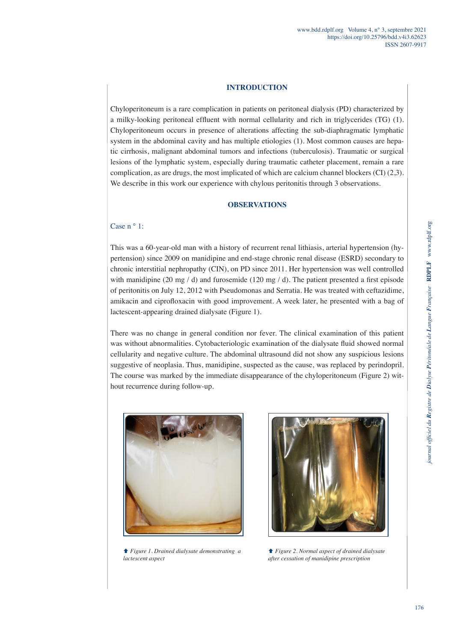### **INTRODUCTION**

Chyloperitoneum is a rare complication in patients on peritoneal dialysis (PD) characterized by a milky-looking peritoneal effluent with normal cellularity and rich in triglycerides (TG) (1). Chyloperitoneum occurs in presence of alterations affecting the sub-diaphragmatic lymphatic system in the abdominal cavity and has multiple etiologies (1). Most common causes are hepatic cirrhosis, malignant abdominal tumors and infections (tuberculosis). Traumatic or surgical lesions of the lymphatic system, especially during traumatic catheter placement, remain a rare complication, as are drugs, the most implicated of which are calcium channel blockers (CI)  $(2,3)$ . We describe in this work our experience with chylous peritonitis through 3 observations.

### **OBSERVATIONS**

## Case  $n \circ 1$ :

This was a 60-year-old man with a history of recurrent renal lithiasis, arterial hypertension (hypertension) since 2009 on manidipine and end-stage chronic renal disease (ESRD) secondary to chronic interstitial nephropathy (CIN), on PD since 2011. Her hypertension was well controlled with manidipine (20 mg / d) and furosemide (120 mg / d). The patient presented a first episode of peritonitis on July 12, 2012 with Pseudomonas and Serratia. He was treated with ceftazidime, amikacin and ciprofloxacin with good improvement. A week later, he presented with a bag of lactescent-appearing drained dialysate (Figure 1).

There was no change in general condition nor fever. The clinical examination of this patient was without abnormalities. Cytobacteriologic examination of the dialysate fluid showed normal cellularity and negative culture. The abdominal ultrasound did not show any suspicious lesions suggestive of neoplasia. Thus, manidipine, suspected as the cause, was replaced by perindopril. The course was marked by the immediate disappearance of the chyloperitoneum (Figure 2) without recurrence during follow-up.





 *Figure 1. Drained dialysate demonstrating a lactescent aspect*

 *Figure 2. Normal aspect of drained dialysate after cessation of manidipine prescription*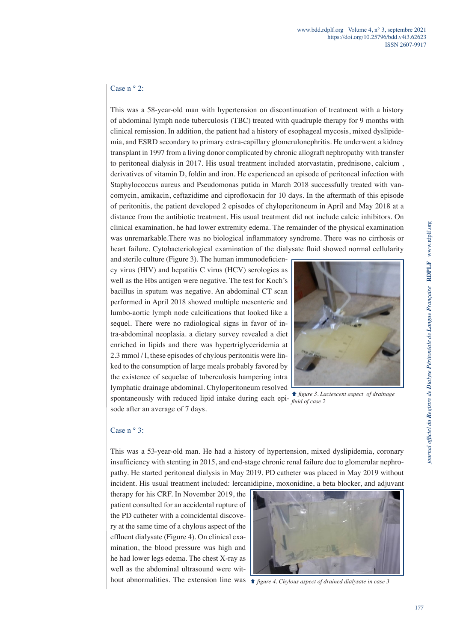# Case  $n \circ 2$ :

This was a 58-year-old man with hypertension on discontinuation of treatment with a history of abdominal lymph node tuberculosis (TBC) treated with quadruple therapy for 9 months with clinical remission. In addition, the patient had a history of esophageal mycosis, mixed dyslipidemia, and ESRD secondary to primary extra-capillary glomerulonephritis. He underwent a kidney transplant in 1997 from a living donor complicated by chronic allograft nephropathy with transfer to peritoneal dialysis in 2017. His usual treatment included atorvastatin, prednisone, calcium , derivatives of vitamin D, foldin and iron. He experienced an episode of peritoneal infection with Staphylococcus aureus and Pseudomonas putida in March 2018 successfully treated with vancomycin, amikacin, ceftazidime and ciprofloxacin for 10 days. In the aftermath of this episode of peritonitis, the patient developed 2 episodes of chyloperitoneum in April and May 2018 at a distance from the antibiotic treatment. His usual treatment did not include calcic inhibitors. On clinical examination, he had lower extremity edema. The remainder of the physical examination was unremarkable.There was no biological inflammatory syndrome. There was no cirrhosis or heart failure. Cytobacteriological examination of the dialysate fluid showed normal cellularity

and sterile culture (Figure 3). The human immunodeficiency virus (HIV) and hepatitis C virus (HCV) serologies as well as the Hbs antigen were negative. The test for Koch's bacillus in sputum was negative. An abdominal CT scan performed in April 2018 showed multiple mesenteric and lumbo-aortic lymph node calcifications that looked like a sequel. There were no radiological signs in favor of intra-abdominal neoplasia. a dietary survey revealed a diet enriched in lipids and there was hypertriglyceridemia at 2.3 mmol / l, these episodes of chylous peritonitis were linked to the consumption of large meals probably favored by the existence of sequelae of tuberculosis hampering intra lymphatic drainage abdominal. Chyloperitoneum resolved spontaneously with reduced lipid intake during each epi-*fluid of case 2* sode after an average of 7 days.



 *figure 3. Lactescent aspect of drainage* 

## Case n ° 3:

This was a 53-year-old man. He had a history of hypertension, mixed dyslipidemia, coronary insufficiency with stenting in 2015, and end-stage chronic renal failure due to glomerular nephropathy. He started peritoneal dialysis in May 2019. PD catheter was placed in May 2019 without incident. His usual treatment included: lercanidipine, moxonidine, a beta blocker, and adjuvant

therapy for his CRF. In November 2019, the patient consulted for an accidental rupture of the PD catheter with a coincidental discovery at the same time of a chylous aspect of the effluent dialysate (Figure 4). On clinical examination, the blood pressure was high and he had lower legs edema. The chest X-ray as well as the abdominal ultrasound were wit-



hout abnormalities. The extension line was  *figure 4. Chylous aspect of drained dialysate in case 3*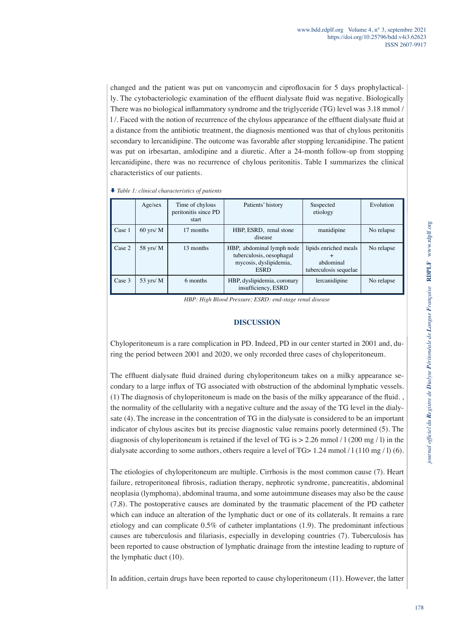changed and the patient was put on vancomycin and ciprofloxacin for 5 days prophylactically. The cytobacteriologic examination of the effluent dialysate fluid was negative. Biologically There was no biological inflammatory syndrome and the triglyceride (TG) level was 3.18 mmol / l /. Faced with the notion of recurrence of the chylous appearance of the effluent dialysate fluid at a distance from the antibiotic treatment, the diagnosis mentioned was that of chylous peritonitis secondary to lercanidipine. The outcome was favorable after stopping lercanidipine. The patient was put on irbesartan, amlodipine and a diuretic. After a 24-month follow-up from stopping lercanidipine, there was no recurrence of chylous peritonitis. Table I summarizes the clinical characteristics of our patients.

 *Table 1: clinical characteristics of patients*

|        | Age/sex     | Time of chylous<br>peritonitis since PD<br>start | Patients' history                                                                              | Suspected<br>etiology                                       | Evolution  |
|--------|-------------|--------------------------------------------------|------------------------------------------------------------------------------------------------|-------------------------------------------------------------|------------|
| Case 1 | $60$ yrs/ M | 17 months                                        | HBP, ESRD, renal stone<br>disease                                                              | manidipine                                                  | No relapse |
| Case 2 | 58 yrs/ M   | 13 months                                        | HBP, abdominal lymph node<br>tuberculosis, oesophagal<br>mycosis, dyslipidemia,<br><b>ESRD</b> | lipids enriched meals<br>abdominal<br>tuberculosis sequelae | No relapse |
| Case 3 | 53 yrs/ $M$ | 6 months                                         | HBP, dyslipidemia, coronary<br>insufficiency, ESRD                                             | lercanidipine                                               | No relapse |

*HBP: High Blood Pressure; ESRD: end-stage renal disease*

### **DISCUSSION**

Chyloperitoneum is a rare complication in PD. Indeed, PD in our center started in 2001 and, during the period between 2001 and 2020, we only recorded three cases of chyloperitoneum.

The effluent dialysate fluid drained during chyloperitoneum takes on a milky appearance secondary to a large influx of TG associated with obstruction of the abdominal lymphatic vessels. (1) The diagnosis of chyloperitoneum is made on the basis of the milky appearance of the fluid. , the normality of the cellularity with a negative culture and the assay of the TG level in the dialysate (4). The increase in the concentration of TG in the dialysate is considered to be an important indicator of chylous ascites but its precise diagnostic value remains poorly determined (5). The diagnosis of chyloperitoneum is retained if the level of TG is  $> 2.26$  mmol / l (200 mg / l) in the dialysate according to some authors, others require a level of TG> 1.24 mmol  $/1(110 \text{ mg}/1)(6)$ .

The etiologies of chyloperitoneum are multiple. Cirrhosis is the most common cause (7). Heart failure, retroperitoneal fibrosis, radiation therapy, nephrotic syndrome, pancreatitis, abdominal neoplasia (lymphoma), abdominal trauma, and some autoimmune diseases may also be the cause (7,8). The postoperative causes are dominated by the traumatic placement of the PD catheter which can induce an alteration of the lymphatic duct or one of its collaterals. It remains a rare etiology and can complicate 0.5% of catheter implantations (1.9). The predominant infectious causes are tuberculosis and filariasis, especially in developing countries (7). Tuberculosis has been reported to cause obstruction of lymphatic drainage from the intestine leading to rupture of the lymphatic duct (10).

In addition, certain drugs have been reported to cause chyloperitoneum (11). However, the latter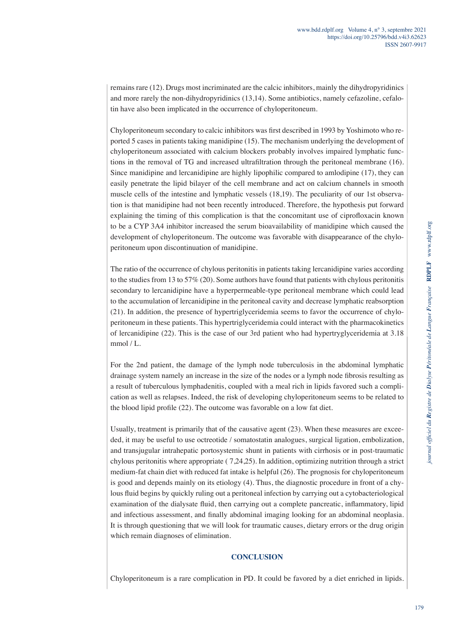remains rare (12). Drugs most incriminated are the calcic inhibitors, mainly the dihydropyridinics and more rarely the non-dihydropyridinics (13,14). Some antibiotics, namely cefazoline, cefalotin have also been implicated in the occurrence of chyloperitoneum.

Chyloperitoneum secondary to calcic inhibitors was first described in 1993 by Yoshimoto who reported 5 cases in patients taking manidipine (15). The mechanism underlying the development of chyloperitoneum associated with calcium blockers probably involves impaired lymphatic functions in the removal of TG and increased ultrafiltration through the peritoneal membrane (16). Since manidipine and lercanidipine are highly lipophilic compared to amlodipine (17), they can easily penetrate the lipid bilayer of the cell membrane and act on calcium channels in smooth muscle cells of the intestine and lymphatic vessels (18,19). The peculiarity of our 1st observation is that manidipine had not been recently introduced. Therefore, the hypothesis put forward explaining the timing of this complication is that the concomitant use of ciprofloxacin known to be a CYP 3A4 inhibitor increased the serum bioavailability of manidipine which caused the development of chyloperitoneum. The outcome was favorable with disappearance of the chyloperitoneum upon discontinuation of manidipine.

The ratio of the occurrence of chylous peritonitis in patients taking lercanidipine varies according to the studies from 13 to 57% (20). Some authors have found that patients with chylous peritonitis secondary to lercanidipine have a hyperpermeable-type peritoneal membrane which could lead to the accumulation of lercanidipine in the peritoneal cavity and decrease lymphatic reabsorption (21). In addition, the presence of hypertriglyceridemia seems to favor the occurrence of chyloperitoneum in these patients. This hypertriglyceridemia could interact with the pharmacokinetics of lercanidipine (22). This is the case of our 3rd patient who had hypertryglyceridemia at 3.18 mmol / L.

For the 2nd patient, the damage of the lymph node tuberculosis in the abdominal lymphatic drainage system namely an increase in the size of the nodes or a lymph node fibrosis resulting as a result of tuberculous lymphadenitis, coupled with a meal rich in lipids favored such a complication as well as relapses. Indeed, the risk of developing chyloperitoneum seems to be related to the blood lipid profile (22). The outcome was favorable on a low fat diet.

Usually, treatment is primarily that of the causative agent (23). When these measures are exceeded, it may be useful to use octreotide / somatostatin analogues, surgical ligation, embolization, and transjugular intrahepatic portosystemic shunt in patients with cirrhosis or in post-traumatic chylous peritonitis where appropriate ( 7,24,25). In addition, optimizing nutrition through a strict medium-fat chain diet with reduced fat intake is helpful (26). The prognosis for chyloperitoneum is good and depends mainly on its etiology (4). Thus, the diagnostic procedure in front of a chylous fluid begins by quickly ruling out a peritoneal infection by carrying out a cytobacteriological examination of the dialysate fluid, then carrying out a complete pancreatic, inflammatory, lipid and infectious assessment, and finally abdominal imaging looking for an abdominal neoplasia. It is through questioning that we will look for traumatic causes, dietary errors or the drug origin which remain diagnoses of elimination.

### **CONCLUSION**

Chyloperitoneum is a rare complication in PD. It could be favored by a diet enriched in lipids.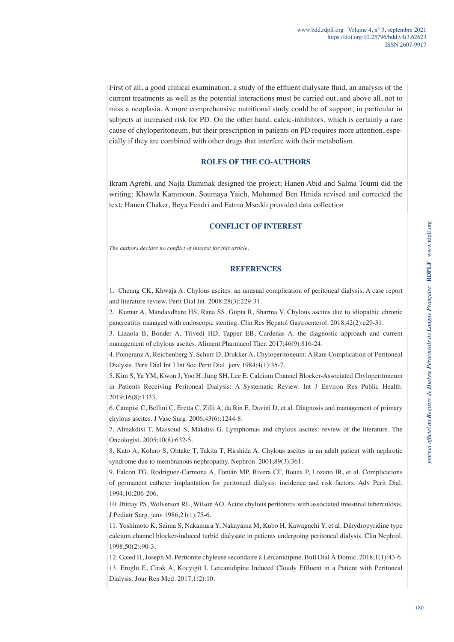First of all, a good clinical examination, a study of the effluent dialysate fluid, an analysis of the current treatments as well as the potential interactions must be carried out, and above all, not to miss a neoplasia. A more comprehensive nutritional study could be of support, in particular in subjects at increased risk for PD. On the other hand, calcic-inhibitors, which is certainly a rare cause of chyloperitoneum, but their prescription in patients on PD requires more attention, especially if they are combined with other drugs that interfere with their metabolism.

# **ROLES OF THE CO-AUTHORS**

Ikram Agrebi, and Najla Dammak designed the project; Hanen Abid and Salma Toumi did the writing; Khawla Kammoun, Soumaya Yaich, Mohamed Ben Hmida revised and corrected the text; Hanen Chaker, Beya Fendri and Fatma Mseddi provided data collection

# **CONFLICT OF INTEREST**

*The authors declare no conflict of interest for this article.*

# **REFERENCES**

1. Cheung CK, Khwaja A. Chylous ascites: an unusual complication of peritoneal dialysis. A case report and literature review. Perit Dial Int. 2008;28(3):229-31.

2. Kumar A, Mandavdhare HS, Rana SS, Gupta R, Sharma V. Chylous ascites due to idiopathic chronic pancreatitis managed with endoscopic stenting. Clin Res Hepatol Gastroenterol. 2018;42(2):e29-31.

3. Lizaola B, Bonder A, Trivedi HD, Tapper EB, Cardenas A. the diagnostic approach and current management of chylous ascites. Aliment Pharmacol Ther. 2017;46(9):816-24.

4. Pomeranz A, Reichenberg Y, Schurr D, Drukker A. Chyloperitoneum: A Rare Complication of Peritoneal Dialysis. Perit Dial Int J Int Soc Perit Dial. janv 1984;4(1):35-7.

5. Kim S, Yu YM, Kwon J, Yoo H, Jung SH, Lee E. Calcium Channel Blocker-Associated Chyloperitoneum in Patients Receiving Peritoneal Dialysis: A Systematic Review. Int J Environ Res Public Health. 2019;16(8):1333.

6. Campisi C, Bellini C, Eretta C, Zilli A, da Rin E, Davini D, et al. Diagnosis and management of primary chylous ascites. J Vasc Surg. 2006;43(6):1244-8.

7. Almakdisi T, Massoud S, Makdisi G. Lymphomas and chylous ascites: review of the literature. The Oncologist. 2005;10(8):632-5.

8. Kato A, Kohno S, Ohtake T, Takita T, Hirshida A. Chylous ascites in an adult patient with nephrotic syndrome due to membranous nephropathy. Nephron. 2001;89(3):361.

9. Falcon TG, Rodriguez-Carmona A, Fontán MP, Rivera CF, Bouza P, Lozano IR, et al. Complications of permanent catheter implantation for peritoneal dialysis: incidence and risk factors. Adv Perit Dial. 1994;10:206-206.

10. Jhittay PS, Wolverson RL, Wilson AO. Acute chylous peritonitis with associated intestinal tuberculosis. J Pediatr Surg. janv 1986;21(1):75-6.

11. Yoshimoto K, Saima S, Nakamura Y, Nakayama M, Kubo H, Kawaguchi Y, et al. Dihydropyridine type calcium channel blocker-induced turbid dialysate in patients undergoing peritoneal dialysis. Clin Nephrol. 1998;50(2):90-3.

12. Gaied H, Joseph M. Péritonite chyleuse secondaire à Lercanidipine. Bull Dial À Domic. 2018;1(1):43‑6.

13. Eroglu E, Cirak A, Kocyigit I. Lercanidipine Induced Cloudy Effluent in a Patient with Peritoneal Dialysis. Jour Ren Med. 2017;1(2):10.